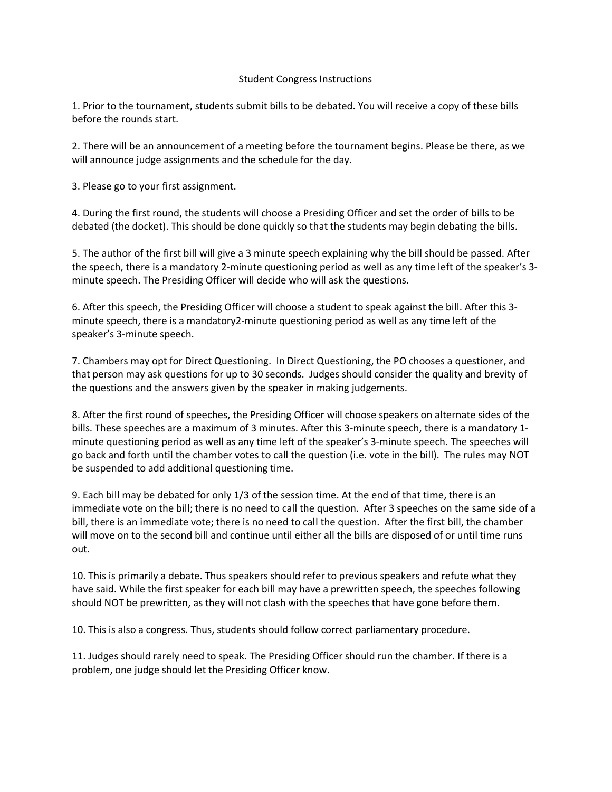## Student Congress Instructions

1. Prior to the tournament, students submit bills to be debated. You will receive a copy of these bills before the rounds start.

2. There will be an announcement of a meeting before the tournament begins. Please be there, as we will announce judge assignments and the schedule for the day.

3. Please go to your first assignment.

4. During the first round, the students will choose a Presiding Officer and set the order of bills to be debated (the docket). This should be done quickly so that the students may begin debating the bills.

5. The author of the first bill will give a 3 minute speech explaining why the bill should be passed. After the speech, there is a mandatory 2-minute questioning period as well as any time left of the speaker's 3 minute speech. The Presiding Officer will decide who will ask the questions.

6. After this speech, the Presiding Officer will choose a student to speak against the bill. After this 3 minute speech, there is a mandatory2-minute questioning period as well as any time left of the speaker's 3-minute speech.

7. Chambers may opt for Direct Questioning. In Direct Questioning, the PO chooses a questioner, and that person may ask questions for up to 30 seconds. Judges should consider the quality and brevity of the questions and the answers given by the speaker in making judgements.

8. After the first round of speeches, the Presiding Officer will choose speakers on alternate sides of the bills. These speeches are a maximum of 3 minutes. After this 3-minute speech, there is a mandatory 1 minute questioning period as well as any time left of the speaker's 3-minute speech. The speeches will go back and forth until the chamber votes to call the question (i.e. vote in the bill). The rules may NOT be suspended to add additional questioning time.

9. Each bill may be debated for only 1/3 of the session time. At the end of that time, there is an immediate vote on the bill; there is no need to call the question. After 3 speeches on the same side of a bill, there is an immediate vote; there is no need to call the question. After the first bill, the chamber will move on to the second bill and continue until either all the bills are disposed of or until time runs out.

10. This is primarily a debate. Thus speakers should refer to previous speakers and refute what they have said. While the first speaker for each bill may have a prewritten speech, the speeches following should NOT be prewritten, as they will not clash with the speeches that have gone before them.

10. This is also a congress. Thus, students should follow correct parliamentary procedure.

11. Judges should rarely need to speak. The Presiding Officer should run the chamber. If there is a problem, one judge should let the Presiding Officer know.